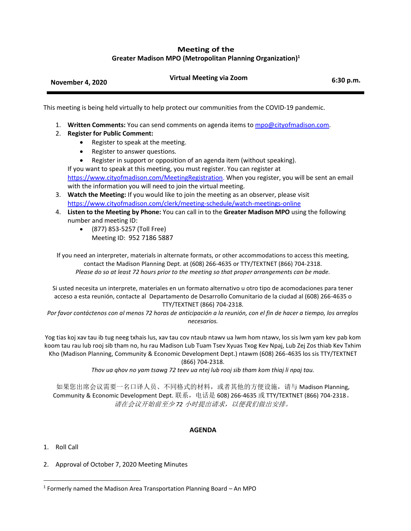## **Meeting of the Greater Madison MPO (Metropolitan Planning Organization) 1**

|                  | <b>Virtual Meeting via Zoom</b> |           |
|------------------|---------------------------------|-----------|
| November 4, 2020 |                                 | 6:30 p.m. |

This meeting is being held virtually to help protect our communities from the COVID-19 pandemic.

- 1. **Written Comments:** You can send comments on agenda items to [mpo@cityofmadison.com.](mailto:mpo@cityofmadison.com)
- 2. **Register for Public Comment:**
	- Register to speak at the meeting.
	- Register to answer questions.
	- Register in support or opposition of an agenda item (without speaking).

If you want to speak at this meeting, you must register. You can register at [https://www.cityofmadison.com/MeetingRegistration.](https://www.cityofmadison.com/MeetingRegistration) When you register, you will be sent an email with the information you will need to join the virtual meeting.

- 3. **Watch the Meeting:** If you would like to join the meeting as an observer, please visit <https://www.cityofmadison.com/clerk/meeting-schedule/watch-meetings-online>
- 4. **Listen to the Meeting by Phone:** You can call in to the **Greater Madison MPO** using the following number and meeting ID:
	- (877) 853-5257 (Toll Free) Meeting ID: 952 7186 5887

If you need an interpreter, materials in alternate formats, or other accommodations to access this meeting, contact the Madison Planning Dept. at (608) 266-4635 or TTY/TEXTNET (866) 704-2318. *Please do so at least 72 hours prior to the meeting so that proper arrangements can be made.*

Si usted necesita un interprete, materiales en un formato alternativo u otro tipo de acomodaciones para tener acceso a esta reunión, contacte al Departamento de Desarrollo Comunitario de la ciudad al (608) 266-4635 o TTY/TEXTNET (866) 704-2318.

*Por favor contáctenos con al menos 72 horas de anticipación a la reunión, con el fin de hacer a tiempo, los arreglos necesarios.*

Yog tias koj xav tau ib tug neeg txhais lus, xav tau cov ntaub ntawv ua lwm hom ntawv, los sis lwm yam kev pab kom koom tau rau lub rooj sib tham no, hu rau Madison Lub Tuam Tsev Xyuas Txog Kev Npaj, Lub Zej Zos thiab Kev Txhim Kho (Madison Planning, Community & Economic Development Dept.) ntawm (608) 266-4635 los sis TTY/TEXTNET (866) 704-2318.

*Thov ua qhov no yam tsawg 72 teev ua ntej lub rooj sib tham kom thiaj li npaj tau.*

如果您出席会议需要一名口译人员、不同格式的材料,或者其他的方便设施,请与 Madison Planning, Community & Economic Development Dept. 联系,电话是 608) 266-4635 或 TTY/TEXTNET (866) 704-2318。 请在会议开始前至少 *72* 小时提出请求,以便我们做出安排。

## **AGENDA**

1. Roll Call

 $\overline{a}$ 

2. Approval of October 7, 2020 Meeting Minutes

<sup>&</sup>lt;sup>1</sup> Formerly named the Madison Area Transportation Planning Board – An MPO